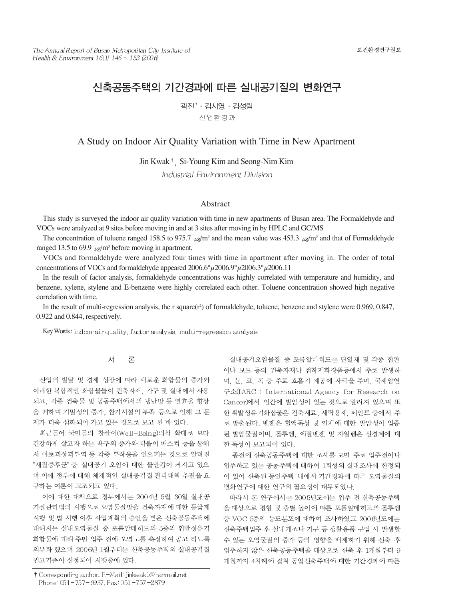# 신축공동주택의 기간경과에 따른 실내공기질의 변화연구

곽진<sup>↑</sup> · 김시영 · 김성림 산업환경과

A Study on Indoor Air Quality Variation with Time in New Apartment

Jin Kwak<sup>†</sup>, Si-Young Kim and Seong-Nim Kim

Industrial Environment Division

### Abstract

This study is surveyed the indoor air quality variation with time in new apartments of Busan area. The Formaldehyde and VOCs were analyzed at 9 sites before moving in and at 3 sites after moving in by HPLC and GC/MS

The concentration of toluene ranged 158.5 to 975.7  $\mu\alpha/m^3$  and the mean value was 453.3  $\mu\alpha/m^3$  and that of Formaldehyde ranged 13.5 to 69.9  $\mu$ g/m<sup>3</sup> before moving in apartment.

VOCs and formaldehyde were analyzed four times with time in apartment after moving in. The order of total concentrations of VOCs and formaldehyde appeared  $2006.6^{\circ} \mu 2006.9^{\circ} \mu 2006.3^{\circ} \mu 2006.11$ 

In the result of factor analysis, formaldehyde concentrations was highly correlated with temperature and humidity, and benzene, xylene, stylene and E-benzene were highly correlated each other. Toluene concentration showed high negative correlation with time.

In the result of multi-regression analysis, the r square(r<sup>2</sup>) of formaldehyde, toluene, benzene and stylene were 0.969, 0.847, 0.922 and 0.844, respectively.

Key Words: indoor air quality, factor analysis, multi-regression analysis

#### 서 론

산업의 발달 및 경제 성장에 따라 새로운 화합물의 증가와 이러한 복합적인 화합물들이 건축자재, 가구 및 실내에서 사용 되고, 각종 건축물 및 공동주택에서의 냉난방 등 열효율 향상 을 꾀하며 기밀성의 증가, 환기시설의 부족 등으로 인해 그 문 제가 더욱 심화되어 가고 있는 것으로 보고 된 바 있다.

최근들어 국민들의 참살이(Well-Being)의식 확대로 보다 건강하게 살고자 하는 욕구의 증가와 더불어 매스컴 등을 통해 서 아토피성피부염 등 각종 부작용을 일으키는 것으로 알려진 "새집증후군" 등 실내공기 오염에 대한 불안감이 커지고 있으 며 이에 정부에 대해 체계적인 실내공기질 관리대책 추진을 요 구하는 여론이 고조되고 있다.

이에 대한 대책으로 정부에서는 2004년 5월 30일 실내공 기질관리법의 시행으로 오염물질방출 건축자재에 대한 등급제 시행 및 법 시행 이후 사업계획의 승인을 받은 신축공동주택에 대해서는 실내오염물질 중 포름알데히드와 5종의 휘발성유기 화합물에 대해 주민 입주 전에 오염도를 측정하여 공고 하도록 의무화 했으며 2006년 1월부터는 신축공동주택의 실내공기질 권고기준이 설정되어 시행중에 있다.

† Corresponding author. E-Mail: jinkwak1@hanmail.net Phone: 051-757-6937, Fax: 051-757-2879

실내공기오염물질 중 포름알데히드는 단열재 및 각종 합판 이나 보드 등의 건축자재나 접착제화장품등에서 주로 발생하 며, 눈, 코, 목 등 주로 호흡기 계통에 자극을 주며, 국제암연 구소(IARC : International Agency for Research on Cancer)에서 인간에 발암성이 있는 것으로 알려져 있으며 또 한 휘발성유기화합물은 건축재료, 세탁용제, 페인트 등에서 주 로 방출된다. 벤젠은 혈액독성 및 인체에 대한 발암성이 입증 된 발암물질이며, 톨루엔, 에틸벤젠 및 자일렌은 신경계에 대 한 독성이 보고되어 있다.

종전에 신축공동주택에 대한 조사를 보면 주로 입주전이나 입주하고 있는 공동주택에 대하여 1회성의 실태조사에 한정되 어 있어 신축된 동일주택 내에서 기간경과에 따른 오염물질의 변화연구에 대한 연구의 필요성이 대두되었다.

따라서 본 연구에서는 2005년도에는 입주 전 신축공동주택 을 대상으로 평형 및 층별 높이에 따른 포름알데히드와 톨루엔 등 VOC 5종의 농도분포에 대하여 조사하였고 2006년도에는 신축주택입주 후 실내개조나 가구 등 생활용품 구입 시 발생할 수 있는 오염물질의 증가 등의 영향을 배제하기 위해 신축 후 입주하지 않은 신축공동주택을 대상으로 신축 후 1개월부터 9 개월까지 4차례에 걸쳐 동일신축주택에 대한 기간경과에 따른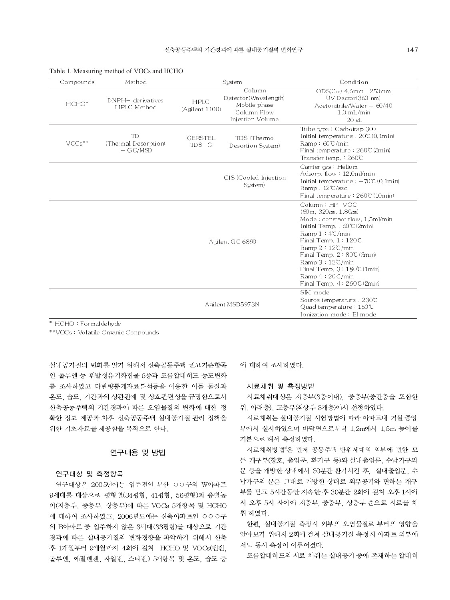| Compounds | Method                                                |                               | System                                                                            | Condition                                                                                                                                                                                                                                                                                                                                                                     |
|-----------|-------------------------------------------------------|-------------------------------|-----------------------------------------------------------------------------------|-------------------------------------------------------------------------------------------------------------------------------------------------------------------------------------------------------------------------------------------------------------------------------------------------------------------------------------------------------------------------------|
| $HCHO*$   | DNPH- derivatives<br>HPLC Method                      | <b>HPLC</b><br>(Agilent 1100) | Column<br>Detector(Wavelength)<br>Mobile phase<br>Column Flow<br>Injection Volume | $ODS(C_{18})$ 4.6mm $250$ mm<br>UV Dector(360 nm)<br>Acetonitrile/Water = $60/40$<br>$1.0$ mL/min<br>$20 \mu L$                                                                                                                                                                                                                                                               |
| $VOCs**$  | TD <sub>1</sub><br>(Thermal Desorption)<br>$-$ GC/MSD | <b>GERSTEL.</b><br>$TDS-G$    | TDS (Thermo)<br>Desortion System)                                                 | Tube type: Carbotrap 300<br>Initial temperature: $20\degree$ (0, 1min)<br>$Ramp: 60\text{°C/min}$<br>Final temperature: 260°C (5min)<br>Transfer temp.: 260℃                                                                                                                                                                                                                  |
|           |                                                       |                               | CIS (Cooled Injection<br>System)                                                  | Carrier gas: Helium<br>Adsorp. flow: 12.0ml/min<br>Initial temperature: $-70$ °C $(0,1$ min)<br>Ramp: $12^{\circ}$ C/sec<br>Final temperature: 260℃ (10min)                                                                                                                                                                                                                   |
|           |                                                       |                               | Agilent GC 6890                                                                   | Column: HP-VOC<br>$(60m, 320 \mu m, 1.80 \mu m)$<br>Mode: constant flow, 1.5ml/min<br>Initial Temp.: $60^{\circ}$ (2min)<br>Ramp $1:4^{\circ}$ /min<br>Final Temp, $1:120C$<br>Ramp $2:12^{\circ}$ min<br>Final Temp, $2:80C(3min)$<br>Ramp $3:12^{\circ}$ /min<br>Final Temp. $3:180\textdegree$ (1min)<br>Ramp $4:20^{\circ}$ /min<br>Final Temp, $4:260\textdegree (2min)$ |
|           |                                                       |                               | Agilent MSD5973N                                                                  | SIM mode<br>Source temperature: 230°C<br>Quad temperature: $150^{\circ}$ C<br>Ionization mode: El mode                                                                                                                                                                                                                                                                        |

| Table 1. Measuring method of VOCs and HCHO |  |  |  |  |  |  |
|--------------------------------------------|--|--|--|--|--|--|
|--------------------------------------------|--|--|--|--|--|--|

\* HCHO: Formaldehyde

\*\*VOCs: Volatile Organic Conpounds

실내공기질의 변화를 알기 위해서 신축공동주택 권고기준항목 인 톨루엔 등 휘발성유기화합물 5종과 포름알데히드 농도변화 를 조사하였고 다변량통계자료부석등을 이용한 이를 물질과 온도, 습도, 기간과의 상관관계 및 상호관련성을 규명함으로서 신축공동주택의 기간경과에 따른 오염물질의 변화에 대한 정 확한 정보 제공과 차후 신축공동주택 실내공기질 관리 정책을 위한 기초자료를 제공함을 목적으로 한다.

# 연구내용 및 방법

# 연구대상 및 측정항목

연구대상은 2005년에는 입주전인 부산 OO구의 W아파트 9세대를 대상으로 평형별(34평형, 41평형, 56평형)과 층별높 이(저층부, 중층부, 상층부)에 따른 VOCs 5개항목 및 HCHO 에 대하여 조사하였고, 2006년도에는 신축아파트인 ㅇㅇㅇ구 의 B아파트 중 입주하지 않은 3세대(33평형)를 대상으로 기간 경과에 따른 실내공기질의 변화경향을 파악하기 위해서 신축 후 1개월부터 9개월까지 4회에 걸쳐 HCHO 및 VOCs(벤젠. 톨루엔 에틸벤젠 자일렌 스티렌) 5개항목 및 온도 습도 등 에 대하여 조사하였다.

### 시료채취 및 측정방법

시료채취대상은 저층부(3층이내), 중층부(중간층을 포함한 위, 아래층), 고층부(최상부 3개층)에서 선정하였다.

시료채취는 실내공기질 시험방법에 따라 아파트내 거실 중앙 부에서 실시하였으며 바닥면으로부터 1.2m에서 1.5m 높이를 기본으로 해서 측정하였다.

시료채취방법®은 먼저 공동주택 단위세대의 외부에 면한 모 든 개구부(창호, 출입문, 환기구 등)와 실내출입문, 수납가구의 문 등을 개방한 상태에서 30분간 환기시킨 후, 실내출입문, 수 납가구의 문은 그대로 개방한 상태로 외부공기와 면하는 개구 부를 닫고 5시간동안 지속한 후 30분간 2회에 걸쳐 오후 1시에 서 오후 5시 사이에 저층부, 중층부, 상층부 순으로 시료를 채 취 하였다.

한편, 실내공기질 측정시 외부의 오염물질로 부터의 영향을 알아보기 위해서 2회에 걸쳐 실내공기질 측정시 아파트 외부에 서도 동시 측정이 이루어졌다.

포름알데히드의 시료 채취는 실내공기 중에 존재하는 알데히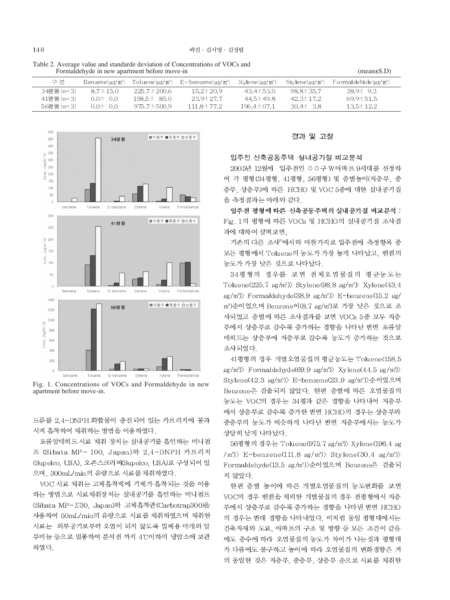| i abic 2. Average value and standarde deviation of Concentrations of VOCs and<br>Formaldehyde in new apartment before move-in | $mean \pm S.D$                         |                   |                                                                           |                          |                          |                                         |  |
|-------------------------------------------------------------------------------------------------------------------------------|----------------------------------------|-------------------|---------------------------------------------------------------------------|--------------------------|--------------------------|-----------------------------------------|--|
| 구 분                                                                                                                           | $\text{Benzene}(u\text{g}/\text{m}^3)$ |                   | To lue ne $(\mu$ g/m <sup>3</sup> ) E – benzene $(\mu$ g/m <sup>3</sup> ) | $X$ vlene $(\mu$ g/m $)$ | $Stvlene(\mu\alpha/m^3)$ | Formal dehi de $\mu$ g/m <sup>3</sup> ) |  |
| 34평형(n=3)                                                                                                                     | $8.7 \pm 15.0$                         | $225.7 \pm 200.6$ | $15.2 \pm 20.9$                                                           | $43.4 \pm 53.0$          | $98.8 \pm 35.7$          | $38.9 \pm 9.3$                          |  |
| 41평형(n=3)                                                                                                                     | $0.0 \pm 0.0$                          | $158.5 \pm 85.0$  | $23.9 \pm 27.7$                                                           | $44.5 \pm 49.8$          | $42.3 \pm 17.2$          | $69.9 \pm 51.5$                         |  |
| 56평형(n=3)                                                                                                                     | $0.0 \pm 0.0$                          | $975.7 \pm 500.9$ | $111.8 \pm 77.2$                                                          | $196.4 \pm 07.1$         | $30.4\pm 3.8$            | $13.5 \pm 12.2$                         |  |





Fig. 1. Concentrations of VOCs and Formaldehyde in new apartment before move-in.

드류를 2,4-DNPH 화합물이 충진되어 있는 카트리지에 통과 시켜 흡착하여 채취하는 방법을 이용하였다.

포름알데히드 시료 채취 장치는 실내공기를 흡인하는 미니펌 프 (Sibata MP-100, Japan)와 2,4-DNPH 카트리지 (Supelco, USA), 오존스크러버(Supelco, USA)로 구성되어 있 으며, 300mL/min의 유량으로 시료를 채취하였다.

VOC 시료 채취는 고체흡착제에 기체가 흡착되는 것을 이용 하는 방법으로 시료채취장치는 실내공기를 흡인하는 미니펌프 (Sibata MP-∑30, Japan)와 고체흡착관(Carbotrap300)을 사용하여 50mL/min의 유량으로 시료를 채취하였으며 채취한 시료는 외부공기로부터 오염이 되지 않도록 밀폐용 마개와 알 루미늄 등으로 밀봉하여 분석전 까지 4℃이하의 냉암소에 보관 하였다.

#### 결과 및 고찰

#### 입주전 신축공동주택 실내공기질 비교분석

2005년 12월에 입주전인 OO구 W아파트 9세대를 선정하 여 각 평형 (34평형, 41평형, 56평형) 및 층별높이 (저층부, 중 층부, 상층부)에 따른 HCHO 및 VOC 5종에 대한 실내공기질 을 측정결과는 아래와 같다.

입주전 평형에 따른 신축공동주택의 실내공기질 비교분석 : Fig. 1의 평형에 따른 VOCs 및 HCHO의 실내공기질 조사결 과에 대하여 살펴보면.

기존의 다른 조사<sup>6</sup>에서와 마찬가지로 입주전에 측정항목 중 모든 평형에서 Toluene의 농도가 가장 높게 나타났고, 벤젠의 농도가 가장 낮은 것으로 나타났다.

34평형의 경우를 보면 전체오염물질의 평균농도는 Toluene(225.7  $\mu$ g/m<sup>3</sup>) Stylene(98.8  $\mu$ g/m<sup>3</sup>) Xylene(43.4  $\mu$ g/m<sup>3</sup>) Formaldehyde(38.9  $\mu$ g/m<sup>3</sup>) E-benzene(15.2  $\mu$ g/ m<sup>3</sup>)순이었으며 Benzene이(8.7 ug/m<sup>3</sup>)로 가장 낮은 것으로 조 사되었고 층별에 따른 조사결과를 보면 VOCs 5종 모두 저층 부에서 상층부로 갈수록 증가하는 경향을 나타난 반면 포름알 데히드는 상층부에 저층부로 갈수록 농도가 증가하는 것으로 조사되었다.

41평형의 경우 개별오염물질의 평균농도는 Toluene(158.5  $\mu$ g/m<sup>3</sup>) Formaldehyde(69.9  $\mu$ g/m<sup>3</sup>) Xylene(44.5  $\mu$ g/m<sup>3</sup>) Stylene(42.3 μg/m<sup>3</sup>)> E-benzene(23.9 μg/m<sup>3</sup>)>순이었으며 Benzene은 검출되지 않았다. 한편 층별에 따른 오염물질의 농도는 VOC의 경우는 34평과 같은 경향을 나타내어 저층부 에서 상층부로 갈수록 증가한 반면 HCHO의 경우는 상층부와 중층부의 농도가 비슷하게 나타난 반면 저층부에서는 농도가 상당히 낮게 나타났다.

56평형의 경우는 Toluene(975. 7 μg/m<sup>3</sup>) Xylene(196. 4 μg  $\langle m^3 \rangle$  E-benzene(111.8  $\mu$ g/m<sup>3</sup>) Stylene(30.4  $\mu$ g/m<sup>3</sup>) Formaldehyde(13.5 µg/m<sup>3</sup>)>순이었으며 Benzene은 검출되 지 않았다.

한편 층별 높이에 따른 개별오염물질의 농도변화를 보면 VOC의 경우 벤젠을 제외한 개별물질의 경우 전평형에서 저층 부에서 상층부로 갈수록 증가하는 경향을 나타낸 반면 HCHO 의 경우는 반대 경향을 나타내었다. 이처럼 동일 평형대에서는 건축자재와 도료, 아파트의 구조 및 방향 등 모든 조건이 같음 에도 층수에 따라 오염물질의 농도가 차이가 나는것과 평형대 가 다름에도 불구하고 높이에 따라 오염물질의 변화경향은 거 의 동일한 것은 저층부, 중층부, 상층부 순으로 시료를 채취한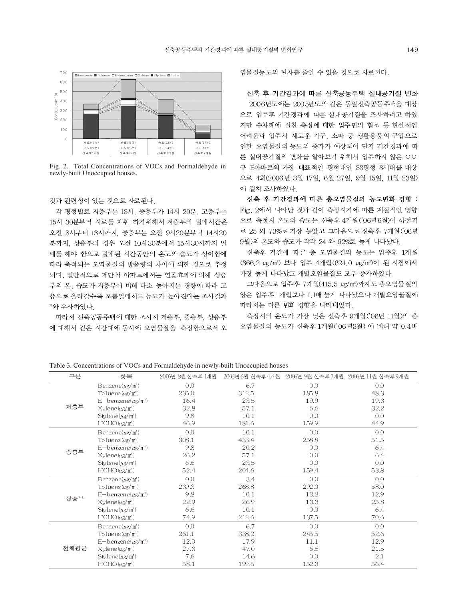

Fig. 2. Total Concentrations of VOCs and Formaldehyde in newly-built Unoccupied houses.

## 것과 관련성이 있는 것으로 사료된다.

각 평형별로 저층부는 13시, 중층부가 14시 20분, 고층부는 15시 30분부터 시료를 채취 하기위해서 저층부의 밀폐시간은 오전 8시부터 13시까지, 중층부는 오전 9시20분부터 14시20 분까지. 상층부의 경우 오전 10시30분에서 15시30시까지 밀 폐를 해야 함으로 밀폐된 시간동안의 온도와 습도가 상이함에 따라 축적되는 오염물질의 방출량의 차이에 의한 것으로 추정 되며, 일반적으로 계단식 아파트에서는 연돌효과에 의해 상층 부의 온, 습도가 저층부에 비해 다소 높아지는 경향에 따라 고 층으로 올라갈수록 포름알데히드 농도가 높아진다는 조사결과 <sup>" 와 유사하였다.</sup>

따라서 신축공동주택에 대한 조사시 저층부, 중층부, 상층부 에 대해서 같은 시간대에 동시에 오염물질을 측정함으로서 오

염물질농도의 편차를 줄일 수 있을 것으로 사료된다.

# 신축 후 기간경과에 따른 신축공동주택 실내공기질 변화

2006년도에는 2005년도와 같은 동일신축공동주택을 대상 으로 입주후 기간경과에 따른 실내공기질을 조사하려고 하였 지만 수차례에 걸친 측정에 대한 입주민의 협조 등 현실적인 어려움과 입주시 새로운 가구, 소파 등 생활용품의 구입으로 인한 오염물질의 농도의 증가가 예상되어 단지 기간경과에 따 른 실내공기질의 변화를 알아보기 위해서 입주하지 않은 OO 구 B아파트의 가장 대표적인 평형대인 33평형 3세대를 대상 으로 4회(2006년 3월 17일, 6월 27일, 9월 15일, 11월 23일) 에 걸쳐 조사하였다.

신축 후 기간경과에 따른 총오염물질의 농도변화 경향 : Fig. 2에서 나타난 것과 같이 측정시기에 따른 계절적인 영향 으로 측정시 온도와 습도는 신축후 4개월('06년6월)이 하절기 로 25 와 73%로 가장 높았고 그다음으로 신축후 7개월(06년 9월)의 온도와 습도가 각각 24 와 62%로 높게 나타났다.

신축후 기간에 따른 총 오염물질의 농도는 입주후 1개월 (366.2 μg/m<sup>3</sup>) 보다 입주 4개월 (624.0 μg/m<sup>3</sup>)이 된 시점에서 가장 높게 나타났고 개별오염물질도 모두 증가하였다.

그다음으로 입주후 7개월(415.5 µg/m<sup>3</sup>)까지도 총오염물질의 양은 입주후 1개월보다 1.1배 높게 나타났으나 개별오염물질에 따라서는 다른 변화 경향을 나타내었다.

측정시의 온도가 가장 낮은 신축후 9개월('06년 11월)의 총 오염물질의 농도가 신축후 1개월('06년3월) 에 비해 약 0.4배

구부 2006년 3월 신축후 1개월 2006년 6월 신축후 4개월 2006년 9월 신축후 7개월 2006년 11월 신축후 9개월 항목 Benzene( $\mu$ g/m<sup>3</sup>)  $0.0$ 6.7  $0.0$  $0.0$ To lue ne  $(\mu$ g/m<sup>3</sup>) 236.0 312.5 185.8 48.3  $E-b$  enzene $(\mu$ g/m<sup>3</sup>) 16.4 23,5 19.9 19.3 저층부  $X$ vlene $\langle \mu g/m^3 \rangle$ 32.8 57.1 6,6 32.2 Stylene( $\mu$ g/m<sup>3</sup>) 9.8  $10.1$  $0,0$  $0,0$ 44.9  $HCHO(\mu g/m^3)$ 46.9 181.6 159.9 Benzene( $\mu$ g/m<sup>3</sup>)  $0,0$  $10.1$  $0,0$  $0,0$ 433.4 To lue ne  $(\mu$ g/m<sup>3</sup>) 308.1 258.8 51.5  $E-b$  en zen e $(\mu$ g/m<sup>3</sup>) 9.8 20.2  $0,0$ 6,4 중층부 26.2 57.1  $0,0$ Xylene(ug/m3) 6,4 23.5  $0.0$  $0.0$  $Stvleneluz/m$ <sup>3</sup> -6.6  $HCHO(\mu g/m^3)$ 52.4 204,6 159.4 53.8  $0,0$ 3.4  $0,0$  $0.0$  $\text{B}$  enzene( $\mu$ g/m<sup>3</sup>) 239.3 268.8 292.0 58.0 To lue ne  $(\mu g/m^3)$  $E-b$  en zen e $(\mu$ g/m<sup>3</sup>) 9.8  $10,1$ 13.3 12.9 상층부 22.9  $X$ ylene $\langle \mu g/m^3 \rangle$ 26.9 13.3 25.8 Stylene( $\mu$ g/m<sup>3</sup>) 6.6  $10.1$  $0.0$ 6.4 74.9 137.5 70.6  $HCHO(\mu g/m^3)$ 212,6  $0.0$  $0.0$  $0.0$ Benzene( $\mu$ g/m<sup>3</sup>) 6.7 338.2 245.5 52.6 To lue ne  $(\mu g/m^3)$ 261.1  $E-b$  enzene( $\mu$ g/m<sup>3</sup>) 12.0 17.9  $11.1$ 12.9 전체평균 47.0  $X$ ylene $\langle \mu g/m^3 \rangle$ 27.3 6,6 21.5 Stylene( $\mu$ g/m<sup>3</sup>) 7.6 14.6  $0,0$ 2.1 58.1 152.3  $HCHO(\mu g/m^3)$ 199.6 56.4

Table 3. Concentrations of VOCs and Formaldehyde in newly-built Unoccupied houses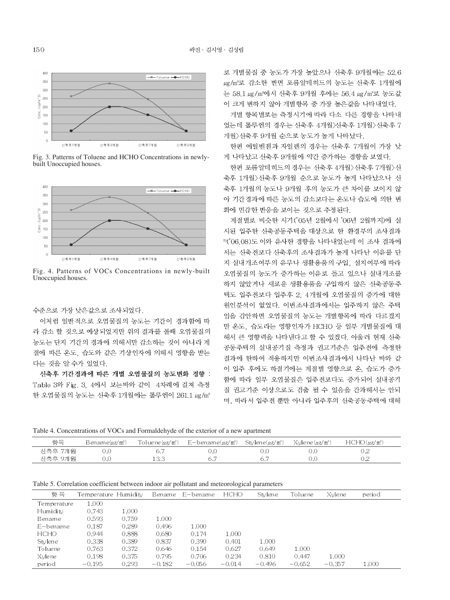

Fig. 3. Patterns of Toluene and HCHO Concentrations in newlybuilt Unoccupied houses.



Fig. 4. Patterns of VOCs Concentrations in newly-built Unoccupied houses.

수준으로 가장 낮은값으로 조사되었다.

이처럼 일반적으로 오염물질의 농도는 기간이 경과함에 따 라 감소 할 것으로 예상되었지만 위의 결과를 볼때 오염물질의 농도는 단지 기간의 경과에 의해서만 감소하는 것이 아니라 계 절에 따른 온도, 습도와 같은 기상인자에 의해서 영향을 받는 다는 것을 알 수가 있었다.

신축후 기간경과에 따른 개별 오염물질의 농도변화 경향 : Table 3와 Fig. 3, 4에서 보는바와 같이 4차례에 걸쳐 측정 한 오염물질의 농도는 신축후 1개월에는 톨루엔이 261.1 µg/m<sup>3</sup>

로 개별물질 중 농도가 가장 높았으나 신축후 9개월에는 52.6 μg/m3로 감소한 반면 포름알데히드의 농도는 신축후 1개월에 는 58.1 µg/m<sup>3</sup>에서 신축후 9개월 후에는 56.4 µg/m3로 농도값 이 크게 변하지 않아 개별항목 중 가장 높은값을 나타내었다.

개별 항목별로는 측정시기에 따라 다소 다른 경향을 나타내 었는데 톨루엔의 경우는 신축후 4개월>신축후 1개월>신축후 7 개월>신축후 9개월 순으로 농도가 높게 나타났다.

한편 에틸벤젠과 자일렌의 경우는 신축후 7개월이 가장 낮 게 나타났고 신축후 9개월에 약간 증가하는 경향을 보였다.

한편 포름알데히드의 경우는 신축후 4개월>신축후 7개월>신 축후 1개월>신축후 9개월 순으로 농도가 높게 나타났으나 신 축후 1개월의 농도나 9개월 후의 농도가 큰 차이를 보이지 않 아 기간경과에 따른 농도의 감소보다는 온도나 습도에 의한 변 화에 민감한 반응을 보이는 것으로 추정된다.

계절별로 비슷한 시기 ('05년 2월에서 '06년 2월까지)에 실 시된 입주한 신축공동주택을 대상으로 한 환경부의 조사결과 <sup>8)</sup>('06.08)도 이와 유사한 경향을 나타내었는데 이 조사 결과에 서는 신축전보다 신축후의 조사결과가 높게 나타난 이유를 단 지 실내개조여부의 유무나 생활용품의 구입, 설치여부에 따라 오염물질의 농도가 증가하는 이유로 들고 있으나 실내개조를 하지 않았거나 새로운 생활용품을 구입하지 않은 신축공동주 택도 입주전보다 입주후 2. 4개월에 오염물질의 증가에 대한 원인분석이 없었다. 이번조사결과에서는 입주하지 않은 주택 임을 감안하면 오염물질의 농도는 개별항목에 따라 다르겠지 만 온도, 습도라는 영향인자가 HCHO 등 일부 개별물질에 대 해서 큰 영향력을 나타낸다고 할 수 있겠다. 아울러 현재 신축 공동주택의 실내공기질 측정과 권고기준은 입주전에 측정한 결과에 한하여 적용하지만 이번조사결과에서 나타난 바와 같 이 입주 후에도 하절기에는 계절별 영향으로 온, 습도가 증가 함에 따라 일부 오염물질은 입주전보다도 증가되어 실내공기 질 권고기준 이상으로도 검출 될 수 있음을 간과해서는 안되 며, 따라서 입주전 뿐만 아니라 입주후의 신축공동주택에 대해

| 항목      | Benzene(µg/m°) | To lue ne $\mu$ g/m <sup>3</sup> ) | $E-b$ en zen e $(\mu$ g/m $)$ | Stylene( $\mu$ g/m $^3$ ) | $X$ vlene $(\mu$ g/m <sup>3</sup> ) | $HCHO(\mu g/m^3)$ |
|---------|----------------|------------------------------------|-------------------------------|---------------------------|-------------------------------------|-------------------|
| 신축후 7개월 | J.U            |                                    | U.U                           |                           |                                     | U.Z               |
| 신축후 9개월 | J.O            | 1 J.C                              |                               |                           |                                     | ◡.∠               |

Table 5. Correlation coefficient between indoor air pollutant and meteorological parameters

| 항<br>목      | Temperature Humidity |       | Benzene  | E-benzene | <b>HCHO</b> | Stylene  | Toluene  | Xylene   | period |
|-------------|----------------------|-------|----------|-----------|-------------|----------|----------|----------|--------|
| Temperature | 1.000                |       |          |           |             |          |          |          |        |
| Humidity    | 0.743                | 1.000 |          |           |             |          |          |          |        |
| Benzene     | 0.593                | 0.759 | 1.000    |           |             |          |          |          |        |
| E-benzene   | 0.187                | 0.289 | 0.496    | 1.000     |             |          |          |          |        |
| <b>HCHO</b> | 0.944                | 0.888 | 0.680    | 0.174     | 1.000       |          |          |          |        |
| Stylene     | 0.338                | 0.389 | 0.837    | 0.390     | 0.401       | 1.000    |          |          |        |
| Toluene     | 0.763                | 0.372 | 0.646    | 0.154     | 0.627       | 0.649    | 1.000    |          |        |
| Xylene      | 0.198                | 0.375 | 0.795    | 0.706     | 0.234       | 0.810    | 0.447    | 1.000    |        |
| period      | $-0.195$             | 0.293 | $-0.182$ | $-0.056$  | $-0.014$    | $-0.496$ | $-0.652$ | $-0.357$ | 1.000  |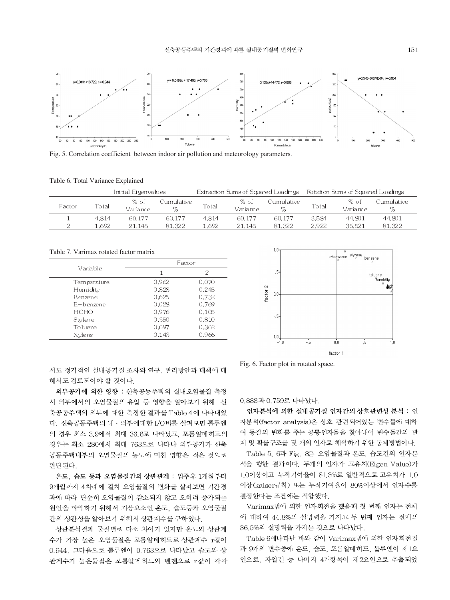

Fig. 5. Correlation coefficient between indoor air pollution and meteorology parameters.

| Initial Eigenvalues |       |                  | Extraction Sums of Squared Loadings |       |                  | Rotation Sums of Squared Loadings |       |                  |                     |
|---------------------|-------|------------------|-------------------------------------|-------|------------------|-----------------------------------|-------|------------------|---------------------|
| Factor              | Total | % of<br>Variance | Cumulative<br>$\%$                  | Total | % of<br>Variance | Cumulative :<br>$\%$              | Total | % of<br>Variance | Cumulative.<br>$\%$ |
|                     | 4.814 | 60.177           | 60.177                              | 4.814 | 60.177           | 60.177                            | 3.584 | 44.801           | 44.801              |
|                     | .692  | 21.145           | 81.322                              | .692  | 21.145           | 81.322                            | 2.922 | 36.521           | 81.322              |

Table 7. Varimax rotated factor matrix

|                | Factor |       |  |  |  |
|----------------|--------|-------|--|--|--|
| Variable       | 1      | 2     |  |  |  |
| Temperature    | 0.962  | 0.070 |  |  |  |
| Humidity       | 0.828  | 0.245 |  |  |  |
| <b>Benzene</b> | 0.625  | 0.732 |  |  |  |
| E-benzene      | 0.028  | 0.769 |  |  |  |
| <b>HCHO</b>    | 0.976  | 0.105 |  |  |  |
| Stylene        | 0.350  | 0.810 |  |  |  |
| Toluene        | 0.697  | 0.362 |  |  |  |
| Xvlene         | 0.143  | 0.966 |  |  |  |



서도 정기적인 실내공기질 조사와 연구, 관리방안과 대책에 대 해서도 검토되어야 할 것이다.

외부공기에 의한 영향 : 신축공동주택의 실내오염물질 측정 시 외부에서의 오염물질의 유입 등 영향을 알아보기 위해 신 축공동주택의 외부에 대한 측정한 결과를 Table 4에 나타내었 다. 신축공동주택의 내 · 외부에대한 I/O비를 살펴보면 톨루엔 의 경우 최소 3.9에서 최대 36.6로 나타났고, 포름알데히드의 경우는 최소 280에서 최대 763으로 나타나 외부공기가 신축 공동주택내부의 오염물질의 농도에 미친 영향은 적은 것으로 판단된다.

온도, 습도 등과 오염물질간의 상관관계 : 입주후 1개월부터 9개월까지 4차례에 걸쳐 오염물질의 변화를 살펴보면 기간경 과에 따라 단순히 오염물질이 감소되지 않고 오히려 증가되는 원인을 파악하기 위해서 기상요소인 온도, 습도등과 오염물질 간의 상관성을 알아보기 위해서 상관계수를 구하였다.

상관분석결과 물질별로 다소 차이가 있지만 온도와 상관계 수가 가장 높은 오염물질은 포름알데히드로 상관계수 r값이 0.944, 그다음으로 톨루엔이 0.763으로 나타났고 습도와 상 관계수가 높은물질은 포름알데히드와 벤젠으로 r값이 각각

Fig. 6. Factor plot in rotated space.

0.888과 0.759로 나타났다.

인자분석에 의한 실내공기질 인자간의 상호관련성 분석 : 인 자분석(factor analysis)은 상호 관련되어있는 변수들에 대하 여 동질의 변화를 주는 공통인자들을 찾아내어 변수들간의 관 계 및 확률구조를 몇 개의 인자로 해석하기 위한 통계방법이다.

Table 5, 6과 Fig. 8은 오염물질과 온도, 습도간의 인자분 석을 행한 결과이다. 두개의 인자가 고유치(Eigen Value)가 1.0이상이고 누적기여율이 81.3%로 일반적으로 고유치가 1.0 이상 (kaiser규칙) 또는 누적기여율이 80%이상에서 인자수를 결정한다는 조건에는 적합했다.

Varimax법에 의한 인자회전을 했을때 첫 번째 인자는 전체 에 대하여 44.8%의 설명력을 가지고 두 번째 인자는 전체의 36.5%의 설명력을 가지는 것으로 나타났다.

Table 6에나타난 바와 같이 Varimax법에 의한 인자회전결 과 9개의 변수중에 온도, 습도, 포름알데히드, 톨루엔이 제1요 인으로, 자일렌 등 나머지 4개항목이 제2요인으로 추출되었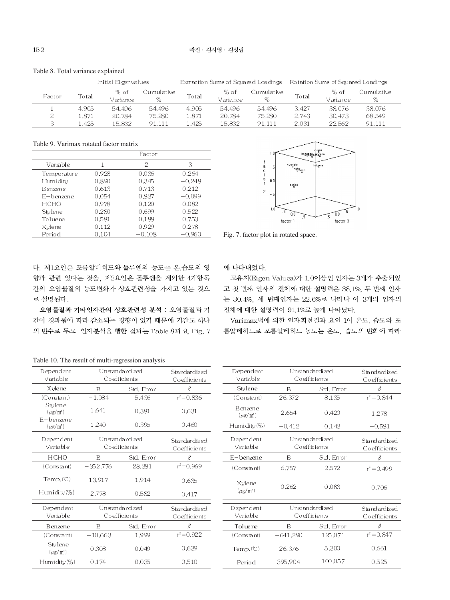|        | Initial Eigenvalues |                  |                   | Extraction Sums of Squared Loadings |                  |                    | Rotation Sums of Squared Loadings |                  |                    |
|--------|---------------------|------------------|-------------------|-------------------------------------|------------------|--------------------|-----------------------------------|------------------|--------------------|
| Factor | Total               | % of<br>Variance | Cumulative :<br>% | Total                               | % of<br>Variance | Cumulative<br>$\%$ | Total                             | % of<br>Variance | Cumulative<br>$\%$ |
|        | 4.905               | 54.496           | 54.496            | 4.905                               | 54.496           | 54.496             | 3.427                             | 38.076           | 38,076             |
|        | l 871               | 20.784           | 75.280            | 1.871                               | 20.784           | 75.280             | 2.743                             | 30.473           | 68.549             |
|        | l .425              | 15.832           | 91.111            | .425                                | 15.832           | 91.111             | 2.031                             | 22.562           | 91.111             |

Table 8. Total variance explained

Table 9. Varimax rotated factor matrix

|             |       | Eactor   |          |
|-------------|-------|----------|----------|
| Variable    | 1     | 2        | 3        |
| Temperature | 0.928 | 0.036    | 0.264    |
| Humidity    | 0.890 | 0.345    | $-0.248$ |
| Benzene     | 0.613 | 0.713    | 0.212    |
| E-benzene   | 0.054 | 0.837    | $-0.099$ |
| HCHO        | 0.978 | 0.120    | 0.082    |
| Stylene     | 0.280 | 0.699    | 0.522    |
| Toluene     | 0.581 | 0.188    | 0.753    |
| Xylene      | 0.112 | 0.929    | 0.278    |
| Period      | 0.104 | $-0.108$ | $-0.960$ |



Fig. 7. factor plot in rotated space.

다. 제1요인은 포름알데히드와 톨루엔의 농도는 온 습도의 영 향과 관련 있다는 것을, 제2요인은 톨루엔을 제외한 4개항목 간의 오염물질의 농도변화가 상호관련성을 가지고 있는 것으 로 설명된다.

오염물질과 기타인자간의 상호관련성 분석 : 오염물질과 기 간이 경과됨에 따라 감소되는 경향이 있기 때문에 기간도 하나 의 변수로 두고 인자분석을 행한 결과는 Table 8과 9, Fig. 7 에 나타내었다.

고유치(Eigen Valuea)가 1.0이상인 인자는 3개가 추출되었 고 첫 번째 인자의 전체에 대한 설명력은 38.1%, 두 번째 인자 는 30.4%, 세 번째인자는 22.6%로 나타나 이 3개의 인자의 전체에 대한 설명력이 91.1%로 높게 나타났다.

Varimax법에 의한 인자회전결과 요인 1이 온도, 습도와 포 름알데히드로 포름알데히드 농도는 온도, 습도의 변화에 따라

Table 10. The result of multi-regression analysis

| Dependent<br>Variable                 |            | Unstandardized<br>Coefficients | Standardized<br>Coefficients | Dependent<br>Variable         |            | Unstandardized<br>Coefficients | Standardized<br>Coefficients |
|---------------------------------------|------------|--------------------------------|------------------------------|-------------------------------|------------|--------------------------------|------------------------------|
| X yle ne                              | B          | Std. Error                     | β                            | Stylene                       | B          | Std. Error                     | ß                            |
| (Constant)                            | $-1.084$   | 5.436                          | $r^2 = 0.836$                | (Constant)                    | 26,372     | 8.135                          | $r^2 = 0.844$                |
| Stylene<br>$(\mu g/m^3)$<br>E-benzene | 1,641      | 0.381                          | 0.631                        | Benzene<br>$(\mu g/m^3)$      | 2.654      | 0.420                          | 1.278                        |
| $(\mu g/m^3)$                         | 1,240      | 0.395                          | 0.460                        | Humidity $(\%)$               | $-0.412$   | 0.143                          | $-0.581$                     |
| Dependent<br>Variable                 |            | Unstandardized<br>Coefficients | Standardized<br>Coefficients | Dependent<br>Variable         |            | Unstandardized<br>Coefficients | Standardized<br>Coefficients |
| <b>HCHO</b>                           | B          | Std. Error                     | $\beta$                      | E-benzene                     | B          | Std. Error                     | β                            |
| (Constant)                            | $-352.776$ | 28.381                         | $r^2 = 0.969$                | (Constant)                    | 6.757      | 2.572                          | $r^2 = 0.499$                |
| Temp, (C)                             | 13.917     | 1.914                          | 0.635                        | Xylene                        | 0.262      | 0.083                          | 0.706                        |
| Humidity(%)                           | 2.778      | 0,582                          | 0.417                        | $(\mu g/m^3)$                 |            |                                |                              |
| Dependent<br>Variable                 |            | Unstandardized<br>Coefficients | Standardized<br>Coefficients | Dependent<br>Variable         |            | Unstandardized<br>Coefficients |                              |
| <b>B</b> enzene                       | B          | Std, Error                     | β                            | Tolue ne                      | B          | Std, Error                     | β                            |
| (Constant)                            | $-10,663$  | 1.999                          | $r^2 = 0.922$                | (Constant)                    | $-641.290$ | 125,071                        | $r^2 = 0.847$                |
| Stylene<br>$(\mu g/m^3)$              | 0.308      | 0,049                          | 0.639                        | $Temp(^\circled{\mathbb{C}})$ | 26,376     | 5.300                          | 0.661                        |
| Humidity (%)                          | 0.174      | 0.035                          | 0.510                        | Period                        | 395.904    | 100.057                        | 0.525                        |
|                                       |            |                                |                              |                               |            |                                |                              |